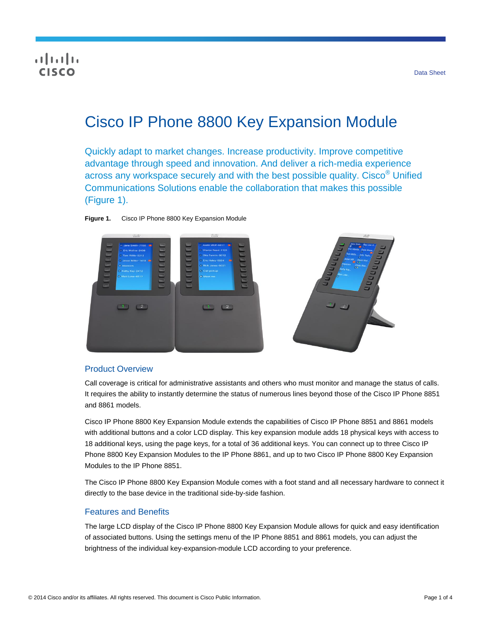# **CISCO**

# Cisco IP Phone 8800 Key Expansion Module

Quickly adapt to market changes. Increase productivity. Improve competitive advantage through speed and innovation. And deliver a rich-media experience across any workspace securely and with the best possible quality. Cisco® Unified Communications Solutions enable the collaboration that makes this possible (Figure 1).





### Product Overview

Call coverage is critical for administrative assistants and others who must monitor and manage the status of calls. It requires the ability to instantly determine the status of numerous lines beyond those of the Cisco IP Phone 8851 and 8861 models.

Cisco IP Phone 8800 Key Expansion Module extends the capabilities of Cisco IP Phone 8851 and 8861 models with additional buttons and a color LCD display. This key expansion module adds 18 physical keys with access to 18 additional keys, using the page keys, for a total of 36 additional keys. You can connect up to three Cisco IP Phone 8800 Key Expansion Modules to the IP Phone 8861, and up to two Cisco IP Phone 8800 Key Expansion Modules to the IP Phone 8851.

The Cisco IP Phone 8800 Key Expansion Module comes with a foot stand and all necessary hardware to connect it directly to the base device in the traditional side-by-side fashion.

#### Features and Benefits

The large LCD display of the Cisco IP Phone 8800 Key Expansion Module allows for quick and easy identification of associated buttons. Using the settings menu of the IP Phone 8851 and 8861 models, you can adjust the brightness of the individual key-expansion-module LCD according to your preference.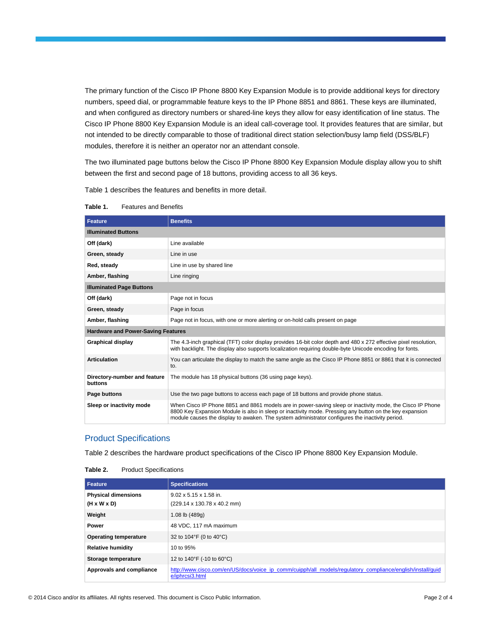The primary function of the Cisco IP Phone 8800 Key Expansion Module is to provide additional keys for directory numbers, speed dial, or programmable feature keys to the IP Phone 8851 and 8861. These keys are illuminated, and when configured as directory numbers or shared-line keys they allow for easy identification of line status. The Cisco IP Phone 8800 Key Expansion Module is an ideal call-coverage tool. It provides features that are similar, but not intended to be directly comparable to those of traditional direct station selection/busy lamp field (DSS/BLF) modules, therefore it is neither an operator nor an attendant console.

The two illuminated page buttons below the Cisco IP Phone 8800 Key Expansion Module display allow you to shift between the first and second page of 18 buttons, providing access to all 36 keys.

Table 1 describes the features and benefits in more detail.

| <b>Feature</b>                            | <b>Benefits</b>                                                                                                                                                                                                                                                                                                         |  |
|-------------------------------------------|-------------------------------------------------------------------------------------------------------------------------------------------------------------------------------------------------------------------------------------------------------------------------------------------------------------------------|--|
| <b>Illuminated Buttons</b>                |                                                                                                                                                                                                                                                                                                                         |  |
| Off (dark)                                | Line available                                                                                                                                                                                                                                                                                                          |  |
| Green, steady                             | Line in use                                                                                                                                                                                                                                                                                                             |  |
| Red, steady                               | Line in use by shared line                                                                                                                                                                                                                                                                                              |  |
| Amber, flashing                           | Line ringing                                                                                                                                                                                                                                                                                                            |  |
| <b>Illuminated Page Buttons</b>           |                                                                                                                                                                                                                                                                                                                         |  |
| Off (dark)                                | Page not in focus                                                                                                                                                                                                                                                                                                       |  |
| Green, steady                             | Page in focus                                                                                                                                                                                                                                                                                                           |  |
| Amber, flashing                           | Page not in focus, with one or more alerting or on-hold calls present on page                                                                                                                                                                                                                                           |  |
| <b>Hardware and Power-Saving Features</b> |                                                                                                                                                                                                                                                                                                                         |  |
| <b>Graphical display</b>                  | The 4.3-inch graphical (TFT) color display provides 16-bit color depth and 480 x 272 effective pixel resolution,<br>with backlight. The display also supports localization requiring double-byte Unicode encoding for fonts.                                                                                            |  |
| <b>Articulation</b>                       | You can articulate the display to match the same angle as the Cisco IP Phone 8851 or 8861 that it is connected<br>to.                                                                                                                                                                                                   |  |
| Directory-number and feature<br>buttons   | The module has 18 physical buttons (36 using page keys).                                                                                                                                                                                                                                                                |  |
| Page buttons                              | Use the two page buttons to access each page of 18 buttons and provide phone status.                                                                                                                                                                                                                                    |  |
| Sleep or inactivity mode                  | When Cisco IP Phone 8851 and 8861 models are in power-saving sleep or inactivity mode, the Cisco IP Phone<br>8800 Key Expansion Module is also in sleep or inactivity mode. Pressing any button on the key expansion<br>module causes the display to awaken. The system administrator configures the inactivity period. |  |

#### **Table 1.** Features and Benefits

#### Product Specifications

Table 2 describes the hardware product specifications of the Cisco IP Phone 8800 Key Expansion Module.

| Table 2. | <b>Product Specifications</b> |
|----------|-------------------------------|
|----------|-------------------------------|

| <b>Feature</b>                                        | <b>Specifications</b>                                                                                                         |
|-------------------------------------------------------|-------------------------------------------------------------------------------------------------------------------------------|
| <b>Physical dimensions</b><br>$(H \times W \times D)$ | $9.02 \times 5.15 \times 1.58$ in.<br>(229.14 x 130.78 x 40.2 mm)                                                             |
| Weight                                                | 1.08 lb $(489q)$                                                                                                              |
| Power                                                 | 48 VDC, 117 mA maximum                                                                                                        |
| <b>Operating temperature</b>                          | 32 to 104°F (0 to 40°C)                                                                                                       |
| <b>Relative humidity</b>                              | 10 to 95%                                                                                                                     |
| Storage temperature                                   | 12 to 140°F (-10 to 60°C)                                                                                                     |
| Approvals and compliance                              | http://www.cisco.com/en/US/docs/voice ip comm/cuipph/all models/regulatory compliance/english/install/quid<br>e/iphrcsi3.html |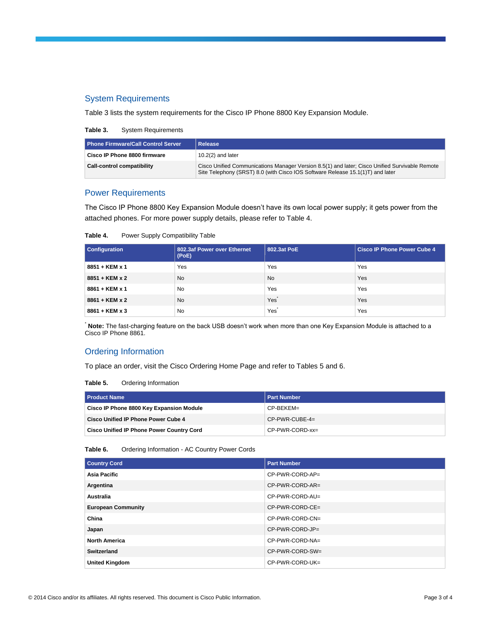## System Requirements

Table 3 lists the system requirements for the Cisco IP Phone 8800 Key Expansion Module.

**Table 3.** System Requirements

| <b>Phone Firmware/Call Control Server</b> | Release                                                                                                                                                                          |
|-------------------------------------------|----------------------------------------------------------------------------------------------------------------------------------------------------------------------------------|
| Cisco IP Phone 8800 firmware              | $10.2(2)$ and later                                                                                                                                                              |
| Call-control compatibility                | Cisco Unified Communications Manager Version 8.5(1) and later; Cisco Unified Survivable Remote<br>Site Telephony (SRST) 8.0 (with Cisco IOS Software Release 15.1(1)T) and later |

### Power Requirements

The Cisco IP Phone 8800 Key Expansion Module doesn't have its own local power supply; it gets power from the attached phones. For more power supply details, please refer to Table 4.

| Table 4. | Power Supply Compatibility Table |
|----------|----------------------------------|
|----------|----------------------------------|

| <b>Configuration</b>  | 802.3af Power over Ethernet<br>(PoE) | 802.3at PoE | <b>Cisco IP Phone Power Cube 4</b> |
|-----------------------|--------------------------------------|-------------|------------------------------------|
| $8851 + KEM \times 1$ | Yes                                  | Yes         | Yes                                |
| 8851 + KEM x 2        | <b>No</b>                            | <b>No</b>   | Yes                                |
| 8861 + KEM x 1        | <b>No</b>                            | Yes         | Yes                                |
| $8861 + KEM \times 2$ | <b>No</b>                            | Yes         | Yes                                |
| $8861 + KEM \times 3$ | <b>No</b>                            | Yes         | Yes                                |

\* **Note:** The fast-charging feature on the back USB doesn't work when more than one Key Expansion Module is attached to a Cisco IP Phone 8861.

#### Ordering Information

To place an order, visit the Cisco Ordering Home Page and refer to Tables 5 and 6.

#### **Table 5.** Ordering Information

| <b>Product Name</b>                              | Part Number       |
|--------------------------------------------------|-------------------|
| Cisco IP Phone 8800 Key Expansion Module         | CP-BEKEM=         |
| <b>Cisco Unified IP Phone Power Cube 4</b>       | $CP-PWR-CUBE-4=$  |
| <b>Cisco Unified IP Phone Power Country Cord</b> | $CP-PWR-CORD-xx=$ |

**Table 6.** Ordering Information - AC Country Power Cords

| <b>Country Cord</b>       | <b>Part Number</b> |
|---------------------------|--------------------|
| Asia Pacific              | CP-PWR-CORD-AP=    |
| Argentina                 | CP-PWR-CORD-AR=    |
| Australia                 | CP-PWR-CORD-AU=    |
| <b>European Community</b> | CP-PWR-CORD-CE=    |
| China                     | CP-PWR-CORD-CN=    |
| Japan                     | CP-PWR-CORD-JP=    |
| <b>North America</b>      | CP-PWR-CORD-NA=    |
| Switzerland               | CP-PWR-CORD-SW=    |
| <b>United Kingdom</b>     | CP-PWR-CORD-UK=    |